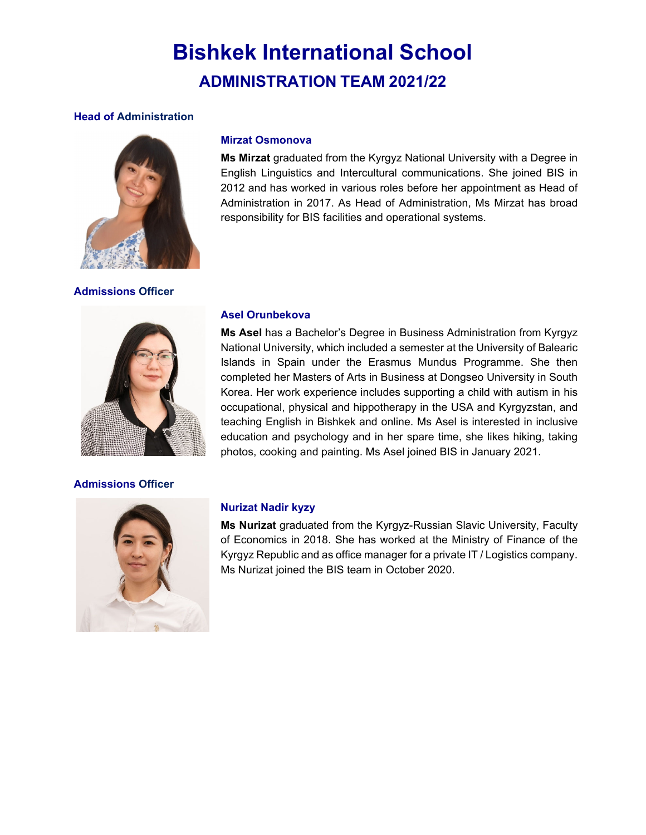# **Bishkek International School ADMINISTRATION TEAM 2021/22**

# **Head of Administration**



**Admissions Officer**

# **Mirzat Osmonova**

**Ms Mirzat** graduated from the Kyrgyz National University with a Degree in English Linguistics and Intercultural communications. She joined BIS in 2012 and has worked in various roles before her appointment as Head of Administration in 2017. As Head of Administration, Ms Mirzat has broad responsibility for BIS facilities and operational systems.



# **Admissions Officer**

# **Asel Orunbekova**

**Ms Asel** has a Bachelor's Degree in Business Administration from Kyrgyz National University, which included a semester at the University of Balearic Islands in Spain under the Erasmus Mundus Programme. She then completed her Masters of Arts in Business at Dongseo University in South Korea. Her work experience includes supporting a child with autism in his occupational, physical and hippotherapy in the USA and Kyrgyzstan, and teaching English in Bishkek and online. Ms Asel is interested in inclusive education and psychology and in her spare time, she likes hiking, taking photos, cooking and painting. Ms Asel joined BIS in January 2021.



# **Nurizat Nadir kyzy**

**Ms Nurizat** graduated from the Kyrgyz-Russian Slavic University, Faculty of Economics in 2018. She has worked at the Ministry of Finance of the Kyrgyz Republic and as office manager for a private IT / Logistics company. Ms Nurizat joined the BIS team in October 2020.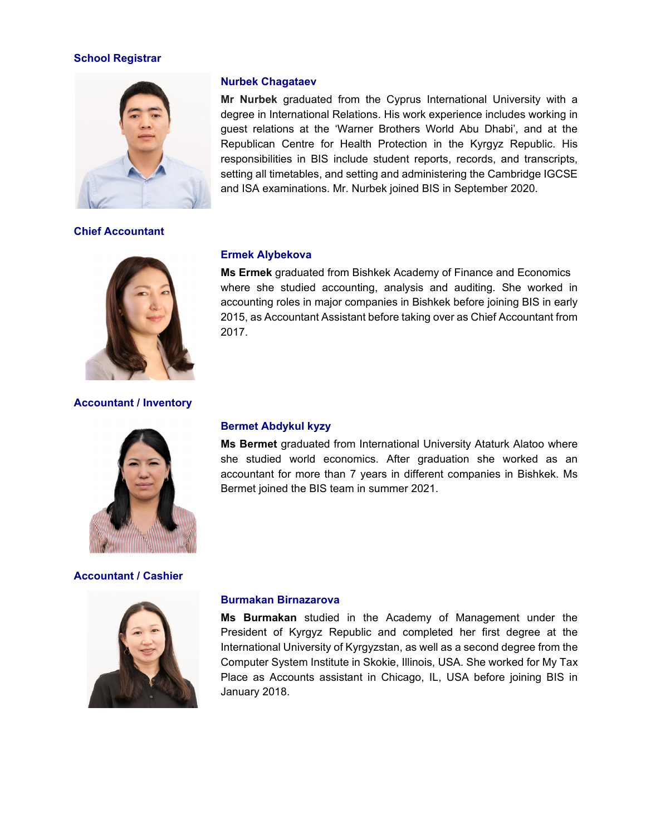# **School Registrar**



# **Chief Accountant**



# **Accountant / Inventory**



#### **Accountant / Cashier**



### **Nurbek Chagataev**

**Mr Nurbek** graduated from the Cyprus International University with a degree in International Relations. His work experience includes working in guest relations at the 'Warner Brothers World Abu Dhabi', and at the Republican Centre for Health Protection in the Kyrgyz Republic. His responsibilities in BIS include student reports, records, and transcripts, setting all timetables, and setting and administering the Cambridge IGCSE and ISA examinations. Mr. Nurbek joined BIS in September 2020.

#### **Ermek Alybekova**

**Ms Ermek** graduated from Bishkek Academy of Finance and Economics where she studied accounting, analysis and auditing. She worked in accounting roles in major companies in Bishkek before joining BIS in early 2015, as Accountant Assistant before taking over as Chief Accountant from 2017.

## **Bermet Abdykul kyzy**

**Ms Bermet** graduated from International University Ataturk Alatoo where she studied world economics. After graduation she worked as an accountant for more than 7 years in different companies in Bishkek. Ms Bermet joined the BIS team in summer 2021.

#### **Burmakan Birnazarova**

**Ms Burmakan** studied in the Academy of Management under the President of Kyrgyz Republic and completed her first degree at the International University of Kyrgyzstan, as well as a second degree from the Computer System Institute in Skokie, Illinois, USA. She worked for My Tax Place as Accounts assistant in Chicago, IL, USA before joining BIS in January 2018.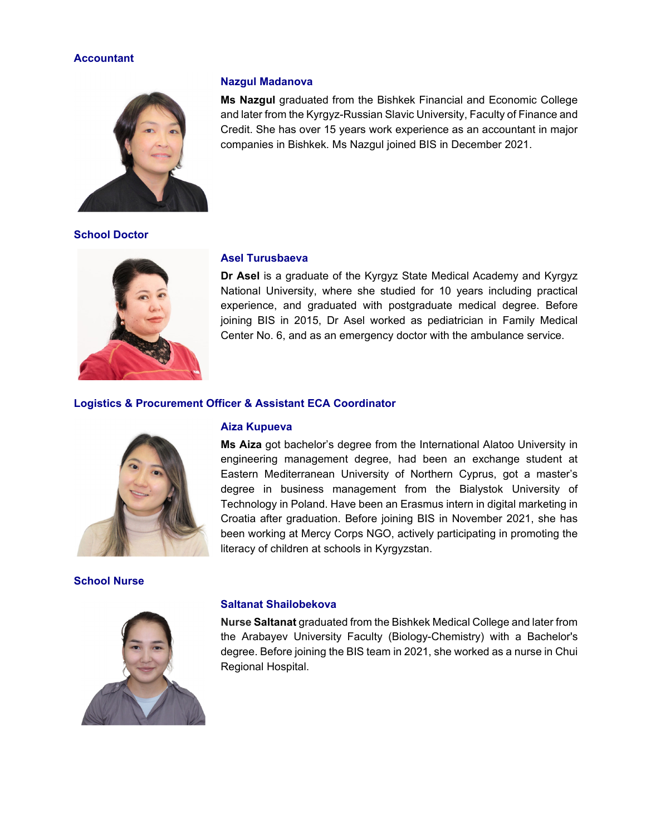# **Accountant**



## **School Doctor**



## **Nazgul Madanova**

**Ms Nazgul** graduated from the Bishkek Financial and Economic College and later from the Kyrgyz-Russian Slavic University, Faculty of Finance and Credit. She has over 15 years work experience as an accountant in major companies in Bishkek. Ms Nazgul joined BIS in December 2021.

## **Asel Turusbaeva**

**Dr Asel** is a graduate of the Kyrgyz State Medical Academy and Kyrgyz National University, where she studied for 10 years including practical experience, and graduated with postgraduate medical degree. Before joining BIS in 2015, Dr Asel worked as pediatrician in Family Medical Center No. 6, and as an emergency doctor with the ambulance service.

#### **Logistics & Procurement Officer & Assistant ECA Coordinator**



**School Nurse** 



#### **Aiza Kupueva**

**Ms Aiza** got bachelor's degree from the International Alatoo University in engineering management degree, had been an exchange student at Eastern Mediterranean University of Northern Cyprus, got a master's degree in business management from the Bialystok University of Technology in Poland. Have been an Erasmus intern in digital marketing in Croatia after graduation. Before joining BIS in November 2021, she has been working at Mercy Corps NGO, actively participating in promoting the literacy of children at schools in Kyrgyzstan.

#### **Saltanat Shailobekova**

**Nurse Saltanat** graduated from the Bishkek Medical College and later from the Arabayev University Faculty (Biology-Chemistry) with a Bachelor's degree. Before joining the BIS team in 2021, she worked as a nurse in Chui Regional Hospital.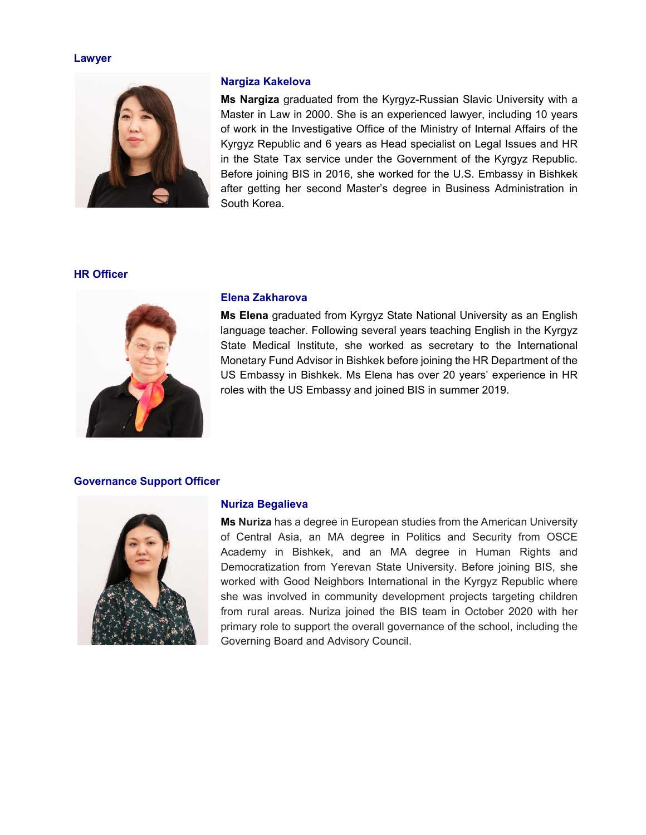#### **Lawyer**



## **Nargiza Kakelova**

**Ms Nargiza** graduated from the Kyrgyz-Russian Slavic University with a Master in Law in 2000. She is an experienced lawyer, including 10 years of work in the Investigative Office of the Ministry of Internal Affairs of the Kyrgyz Republic and 6 years as Head specialist on Legal Issues and HR in the State Tax service under the Government of the Kyrgyz Republic. Before joining BIS in 2016, she worked for the U.S. Embassy in Bishkek after getting her second Master's degree in Business Administration in South Korea.

# **HR Officer**



#### **Elena Zakharova**

**Ms Elena** graduated from Kyrgyz State National University as an English language teacher. Following several years teaching English in the Kyrgyz State Medical Institute, she worked as secretary to the International Monetary Fund Advisor in Bishkek before joining the HR Department of the US Embassy in Bishkek. Ms Elena has over 20 years' experience in HR roles with the US Embassy and joined BIS in summer 2019.

#### **Governance Support Officer**



## **Nuriza Begalieva**

**Ms Nuriza** has a degree in European studies from the American University of Central Asia, an MA degree in Politics and Security from OSCE Academy in Bishkek, and an MA degree in Human Rights and Democratization from Yerevan State University. Before joining BIS, she worked with Good Neighbors International in the Kyrgyz Republic where she was involved in community development projects targeting children from rural areas. Nuriza joined the BIS team in October 2020 with her primary role to support the overall governance of the school, including the Governing Board and Advisory Council.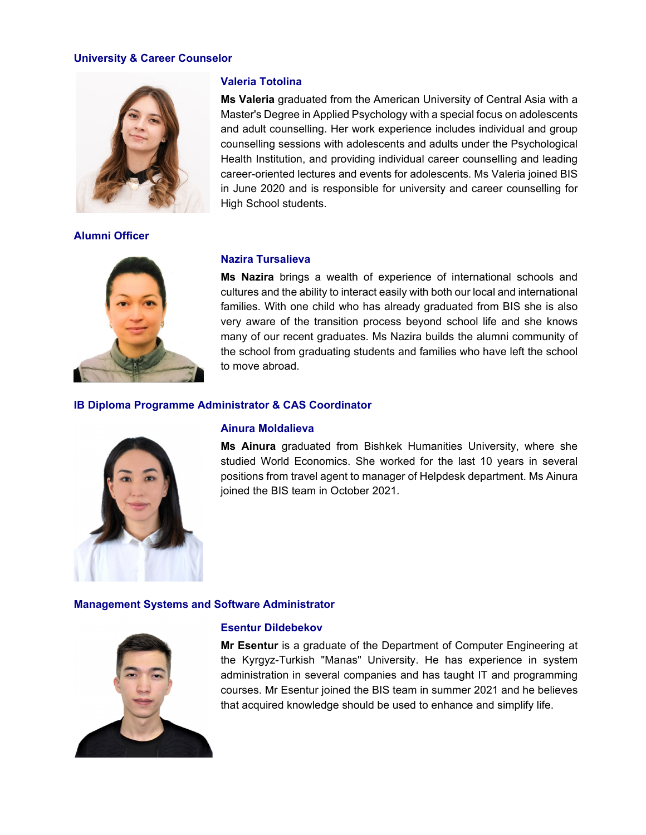## **University & Career Counselor**



**Alumni Officer** 



## **Valeria Totolina**

**Ms Valeria** graduated from the American University of Central Asia with a Master's Degree in Applied Psychology with a special focus on adolescents and adult counselling. Her work experience includes individual and group counselling sessions with adolescents and adults under the Psychological Health Institution, and providing individual career counselling and leading career-oriented lectures and events for adolescents. Ms Valeria joined BIS in June 2020 and is responsible for university and career counselling for High School students.

## **Nazira Tursalieva**

**Ms Nazira** brings a wealth of experience of international schools and cultures and the ability to interact easily with both our local and international families. With one child who has already graduated from BIS she is also very aware of the transition process beyond school life and she knows many of our recent graduates. Ms Nazira builds the alumni community of the school from graduating students and families who have left the school to move abroad.

## **IB Diploma Programme Administrator & CAS Coordinator**



## **Ainura Moldalieva**

**Ms Ainura** graduated from Bishkek Humanities University, where she studied World Economics. She worked for the last 10 years in several positions from travel agent to manager of Helpdesk department. Ms Ainura joined the BIS team in October 2021.

#### **Management Systems and Software Administrator**



#### **Esentur Dildebekov**

**Mr Esentur** is a graduate of the Department of Computer Engineering at the Kyrgyz-Turkish "Manas" University. He has experience in system administration in several companies and has taught IT and programming courses. Mr Esentur joined the BIS team in summer 2021 and he believes that acquired knowledge should be used to enhance and simplify life.